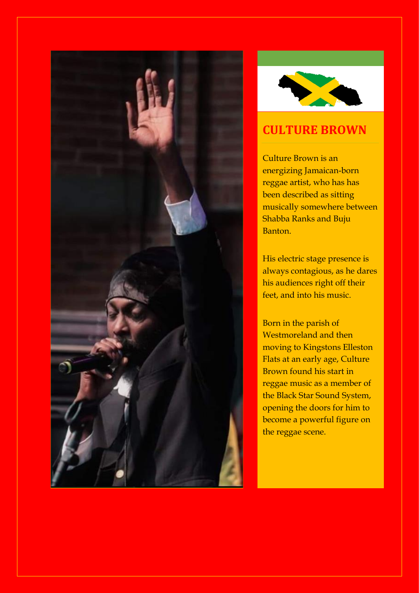



# **CULTURE BROWN**

Culture Brown is an energizing Jamaican-born reggae artist, who has has been described as sitting musically somewhere between Shabba Ranks and Buju Banton.

His electric stage presence is always contagious, as he dares his audiences right off their feet, and into his music.

Born in the parish of Westmoreland and then moving to Kingstons Elleston Flats at an early age, Culture Brown found his start in reggae music as a member of the Black Star Sound System, opening the doors for him to become a powerful figure on the reggae scene.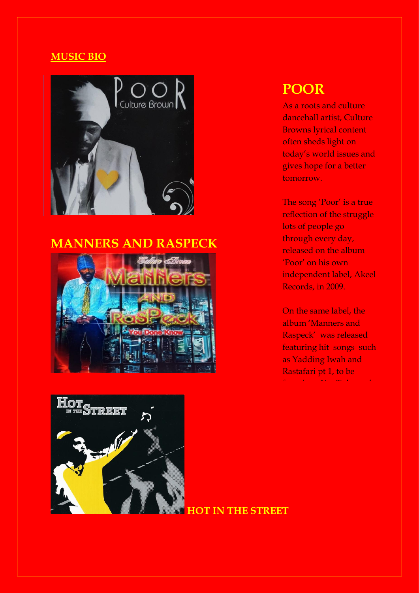### **MUSIC BIO**



# **MANNERS AND RASPECK**



# **POOR**

As a roots and culture dancehall artist, Culture Browns lyrical content often sheds light on today's world issues and gives hope for a better tomorrow.

The song 'Poor' is a true reflection of the struggle lots of people go through every day, released on the album 'Poor' on his own independent label, Akeel Records, in 2009.

On the same label, the album 'Manners and Raspeck' was released featuring hit songs such as Yadding Iwah and Rastafari pt 1, to be found on YouTube and



**HOT IN THE STREET**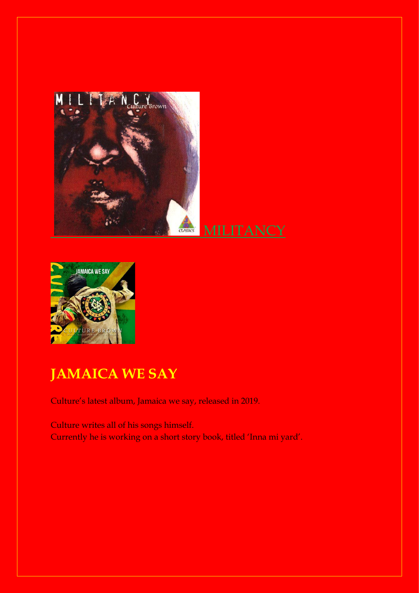



# **JAMAICA WE SAY**

Culture's latest album, Jamaica we say, released in 2019.

Culture writes all of his songs himself. Currently he is working on a short story book, titled 'Inna mi yard'.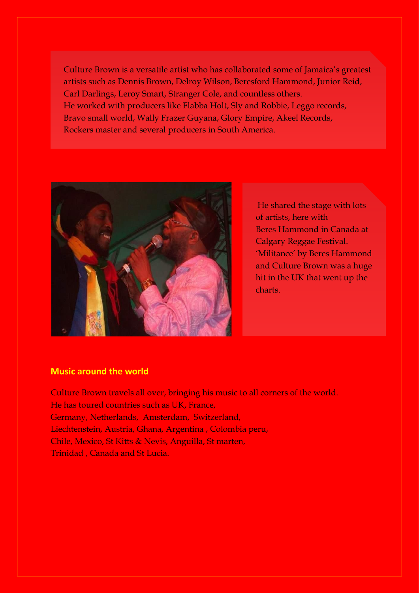Culture Brown is a versatile artist who has collaborated some of Jamaica's greatest artists such as Dennis Brown, Delroy Wilson, Beresford Hammond, Junior Reid, Carl Darlings, Leroy Smart, Stranger Cole, and countless others. He worked with producers like Flabba Holt, Sly and Robbie, Leggo records, Bravo small world, Wally Frazer Guyana, Glory Empire, Akeel Records, Rockers master and several producers in South America.



He shared the stage with lots of artists, here with Beres Hammond in Canada at Calgary Reggae Festival. 'Militance' by Beres Hammond and Culture Brown was a huge hit in the UK that went up the charts.

#### **Music around the world**

Culture Brown travels all over, bringing his music to all corners of the world. He has toured countries such as UK, France, Germany, Netherlands, Amsterdam, Switzerland, Liechtenstein, Austria, Ghana, Argentina , Colombia peru, Chile, Mexico, St Kitts & Nevis, Anguilla, St marten, Trinidad , Canada and St Lucia.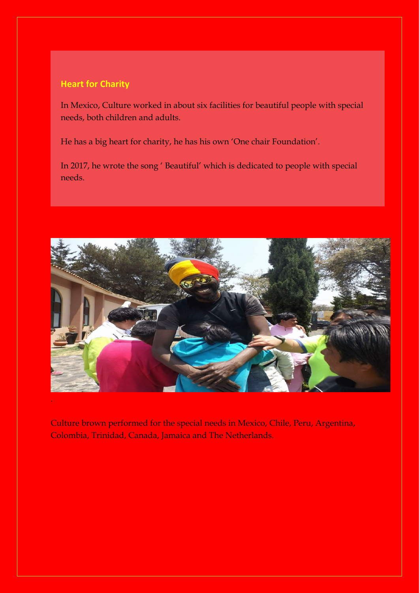#### **Heart for Charity**

In Mexico, Culture worked in about six facilities for beautiful people with special needs, both children and adults.

He has a big heart for charity, he has his own 'One chair Foundation'.

In 2017, he wrote the song ' Beautiful' which is dedicated to people with special needs.



Culture brown performed for the special needs in Mexico, Chile, Peru, Argentina, Colombia, Trinidad, Canada, Jamaica and The Netherlands.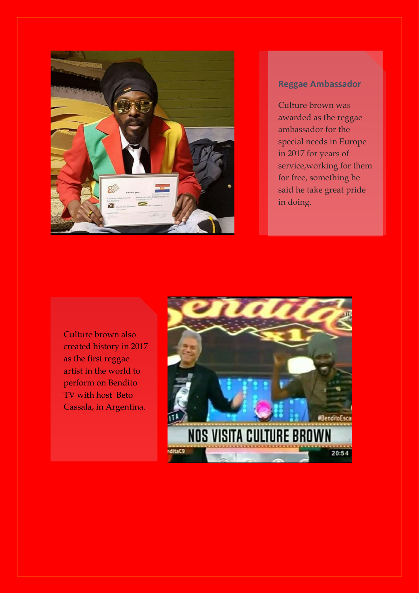

### **Reggae Ambassador**

Culture brown was awarded as the reggae ambassador for the special needs in Europe in 2017 for years of service,working for them for free, something he said he take great pride in doing.

Culture brown also created history in 2017 as the first reggae artist in the world to perform on Bendito TV with host Beto Cassala, in Argentina.

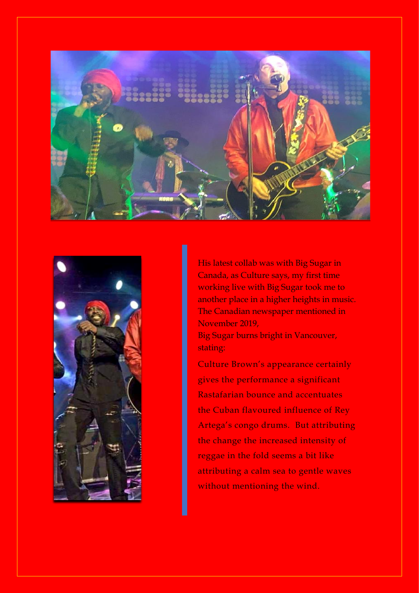



His latest collab was with Big Sugar in Canada, as Culture says, my first time working live with Big Sugar took me to another place in a higher heights in music. The Canadian newspaper mentioned in November 2019,

Big Sugar burns bright in Vancouver, stating:

Culture Brown's appearance certainly gives the performance a significant Rastafarian bounce and accentuates the Cuban flavoured influence of Rey Artega's congo drums. But attributing the change the increased intensity of reggae in the fold seems a bit like attributing a calm sea to gentle waves without mentioning the wind.